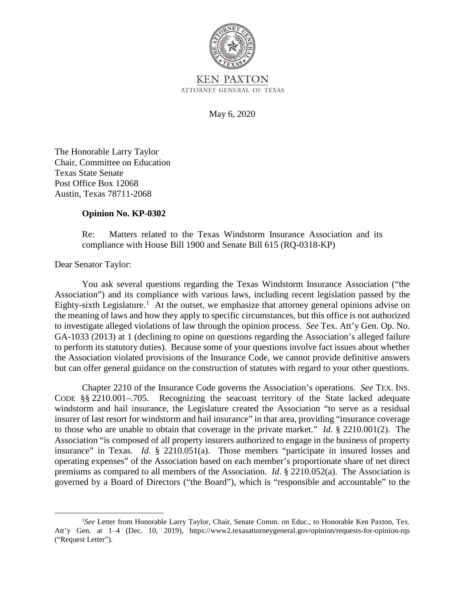

**KEN PAXTON** ATTORNEY GENERAL OF TEXAS

May 6, 2020

The Honorable Larry Taylor Chair, Committee on Education Texas State Senate Post Office Box 12068 Austin, Texas 78711-2068

## **Opinion No. KP-0302**

Re: Matters related to the Texas Windstorm Insurance Association and its compliance with House Bill 1900 and Senate Bill 615 (RQ-0318-KP)

Dear Senator Taylor:

 but can offer general guidance on the construction of statutes with regard to your other questions. You ask several questions regarding the Texas Windstorm Insurance Association ("the Association") and its compliance with various laws, including recent legislation passed by the Eighty-sixth Legislature.<sup>1</sup> At the outset, we emphasize that attorney general opinions advise on the meaning of laws and how they apply to specific circumstances, but this office is not authorized to investigate alleged violations of law through the opinion process. *See* Tex. Att'y Gen. Op. No. GA-1033 (2013) at 1 (declining to opine on questions regarding the Association's alleged failure to perform its statutory duties). Because some of your questions involve fact issues about whether the Association violated provisions of the Insurance Code, we cannot provide definitive answers

 Chapter 2210 of the Insurance Code governs the Association's operations. *See* TEX. INS. windstorm and hail insurance, the Legislature created the Association "to serve as a residual insurer of last resort for windstorm and hail insurance" in that area, providing "insurance coverage to those who are unable to obtain that coverage in the private market." *Id*. § 2210.001(2). The insurance" in Texas. *Id*. § 2210.051(a). Those members "participate in insured losses and CODE §§ 2210.001–.705. Recognizing the seacoast territory of the State lacked adequate Association "is composed of all property insurers authorized to engage in the business of property operating expenses" of the Association based on each member's proportionate share of net direct premiums as compared to all members of the Association. *Id*. § 2210.052(a). The Association is governed by a Board of Directors ("the Board"), which is "responsible and accountable" to the

<sup>&</sup>lt;sup>1</sup>See Letter from Honorable Larry Taylor, Chair, Senate Comm. on Educ., to Honorable Ken Paxton, Tex. Att'y Gen. at 1–4 (Dec. 10, 2019), https://www2.texasattorneygeneral.gov/opinion/requests-for-opinion-rqs ("Request Letter").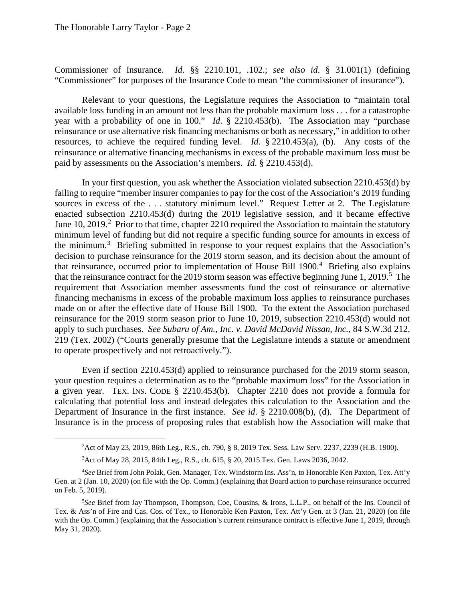$\overline{a}$ 

Commissioner of Insurance. *Id*. §§ 2210.101, .102.; *see also id*. § 31.001(1) (defining "Commissioner" for purposes of the Insurance Code to mean "the commissioner of insurance").

 year with a probability of one in 100." *Id*. § 2210.453(b). The Association may "purchase Relevant to your questions, the Legislature requires the Association to "maintain total available loss funding in an amount not less than the probable maximum loss . . . for a catastrophe reinsurance or use alternative risk financing mechanisms or both as necessary," in addition to other resources, to achieve the required funding level. *Id*. § 2210.453(a), (b). Any costs of the reinsurance or alternative financing mechanisms in excess of the probable maximum loss must be paid by assessments on the Association's members. *Id*. § 2210.453(d).

 sources in excess of the . . . statutory minimum level." Request Letter at 2. The Legislature enacted subsection 2210.453(d) during the 2019 legislative session, and it became effective minimum level of funding but did not require a specific funding source for amounts in excess of that reinsurance, occurred prior to implementation of House Bill 1900.<sup>4</sup> Briefing also explains that the reinsurance contract for the 2019 storm season was effective beginning June 1, 2019.<sup>5</sup> The 219 (Tex. 2002) ("Courts generally presume that the Legislature intends a statute or amendment In your first question, you ask whether the Association violated subsection 2210.453(d) by failing to require "member insurer companies to pay for the cost of the Association's 2019 funding June 10, 2019.<sup>2</sup> Prior to that time, chapter 2210 required the Association to maintain the statutory the minimum.<sup>3</sup> Briefing submitted in response to your request explains that the Association's decision to purchase reinsurance for the 2019 storm season, and its decision about the amount of requirement that Association member assessments fund the cost of reinsurance or alternative financing mechanisms in excess of the probable maximum loss applies to reinsurance purchases made on or after the effective date of House Bill 1900. To the extent the Association purchased reinsurance for the 2019 storm season prior to June 10, 2019, subsection 2210.453(d) would not apply to such purchases. *See Subaru of Am., Inc. v. David McDavid Nissan, Inc.*, 84 S.W.3d 212, to operate prospectively and not retroactively.").

 a given year. TEX. INS. CODE § 2210.453(b). Chapter 2210 does not provide a formula for Department of Insurance in the first instance. *See id*. § 2210.008(b), (d). The Department of Even if section 2210.453(d) applied to reinsurance purchased for the 2019 storm season, your question requires a determination as to the "probable maximum loss" for the Association in calculating that potential loss and instead delegates this calculation to the Association and the Insurance is in the process of proposing rules that establish how the Association will make that

Act of May 28, 2015, 84th Leg., R.S., ch. 615, § 20, 2015 Tex. Gen. Laws 2036, 2042.

<sup>&</sup>lt;sup>2</sup> Act of May 23, 2019, 86th Leg., R.S., ch. 790, § 8, 2019 Tex. Sess. Law Serv. 2237, 2239 (H.B. 1900).<br><sup>3</sup> Act of May 28, 2015, 84th Leg., R.S., ch. 615, 8.20, 2015 Tex. Gen. Laws 2036, 2042.

 Gen. at 2 (Jan. 10, 2020) (on file with the Op. Comm.) (explaining that Board action to purchase reinsurance occurred 4 *See* Brief from John Polak, Gen. Manager, Tex. Windstorm Ins. Ass'n, to Honorable Ken Paxton, Tex. Att'y on Feb. 5, 2019).

 Tex. & Ass'n of Fire and Cas. Cos. of Tex., to Honorable Ken Paxton, Tex. Att'y Gen. at 3 (Jan. 21, 2020) (on file 5 *See* Brief from Jay Thompson, Thompson, Coe, Cousins, & Irons, L.L.P., on behalf of the Ins. Council of with the Op. Comm.) (explaining that the Association's current reinsurance contract is effective June 1, 2019, through May 31, 2020).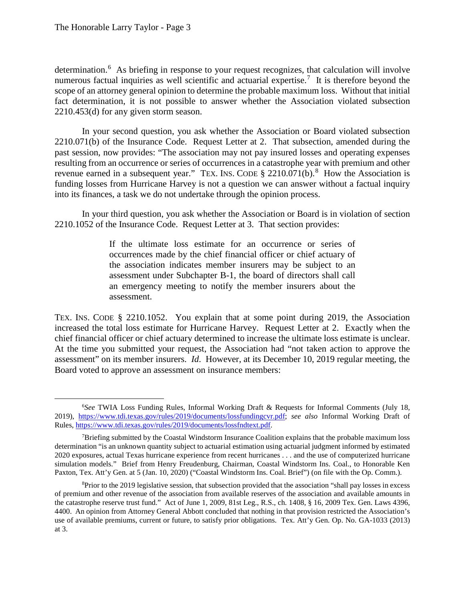numerous factual inquiries as well scientific and actuarial expertise.<sup>7</sup> It is therefore beyond the determination.<sup>6</sup> As briefing in response to your request recognizes, that calculation will involve scope of an attorney general opinion to determine the probable maximum loss. Without that initial fact determination, it is not possible to answer whether the Association violated subsection 2210.453(d) for any given storm season.

revenue earned in a subsequent year." TEX. INS. CODE  $\S$  2210.071(b). <sup>8</sup> How the Association is In your second question, you ask whether the Association or Board violated subsection 2210.071(b) of the Insurance Code. Request Letter at 2. That subsection, amended during the past session, now provides: "The association may not pay insured losses and operating expenses resulting from an occurrence or series of occurrences in a catastrophe year with premium and other funding losses from Hurricane Harvey is not a question we can answer without a factual inquiry into its finances, a task we do not undertake through the opinion process.

 2210.1052 of the Insurance Code. Request Letter at 3. That section provides: In your third question, you ask whether the Association or Board is in violation of section

> an emergency meeting to notify the member insurers about the If the ultimate loss estimate for an occurrence or series of occurrences made by the chief financial officer or chief actuary of the association indicates member insurers may be subject to an assessment under Subchapter B-1, the board of directors shall call assessment.

 TEX. INS. CODE § 2210.1052. You explain that at some point during 2019, the Association increased the total loss estimate for Hurricane Harvey. Request Letter at 2. Exactly when the chief financial officer or chief actuary determined to increase the ultimate loss estimate is unclear. assessment" on its member insurers. *Id*. However, at its December 10, 2019 regular meeting, the At the time you submitted your request, the Association had "not taken action to approve the Board voted to approve an assessment on insurance members:

 6 *See* TWIA Loss Funding Rules, Informal Working Draft & Requests for Informal Comments (July 18, 2019), https://www.tdi.texas.gov/rules/2019/documents/lossfundingcvr.pdf; *see also* Informal Working Draft of Rules, https://www.tdi.texas.gov/rules/2019/documents/lossfndtext.pdf.

simulation models." Brief from Henry Freudenburg, Chairman, Coastal Windstorm Ins. Coal., to Honorable Ken Paxton, Tex. Att'y Gen. at 5 (Jan. 10, 2020) ("Coastal Windstorm Ins. Coal. Brief") (on file with the Op. Comm.). <sup>7</sup>Briefing submitted by the Coastal Windstorm Insurance Coalition explains that the probable maximum loss determination "is an unknown quantity subject to actuarial estimation using actuarial judgment informed by estimated 2020 exposures, actual Texas hurricane experience from recent hurricanes . . . and the use of computerized hurricane

 the catastrophe reserve trust fund." Act of June 1, 2009, 81st Leg., R.S., ch. 1408, § 16, 2009 Tex. Gen. Laws 4396, 4400. An opinion from Attorney General Abbott concluded that nothing in that provision restricted the Association's use of available premiums, current or future, to satisfy prior obligations. Tex. Att'y Gen. Op. No. GA-1033 (2013) at 3. <sup>8</sup>Prior to the 2019 legislative session, that subsection provided that the association "shall pay losses in excess of premium and other revenue of the association from available reserves of the association and available amounts in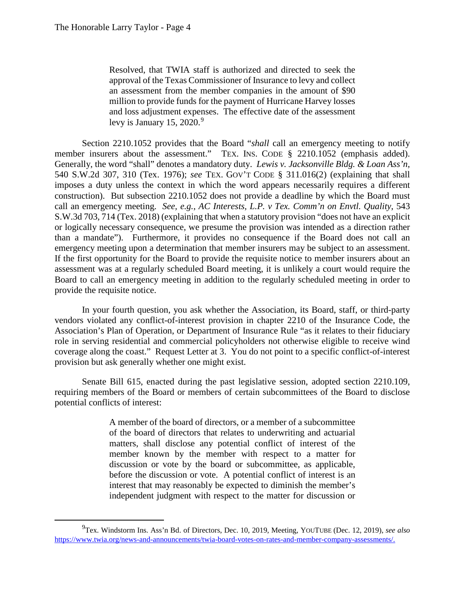$\overline{a}$ 

 approval of the Texas Commissioner of Insurance to levy and collect and loss adjustment expenses. The effective date of the assessment Resolved, that TWIA staff is authorized and directed to seek the an assessment from the member companies in the amount of \$90 million to provide funds for the payment of Hurricane Harvey losses levy is January 15, 2020. $9$ 

member insurers about the assessment." TEX. INS. CODE § 2210.1052 (emphasis added). construction). But subsection 2210.1052 does not provide a deadline by which the Board must call an emergency meeting. *See, e.g.*, *AC Interests, L.P. v Tex. Comm'n on Envtl. Quality*, 543 emergency meeting upon a determination that member insurers may be subject to an assessment. emergency meeting upon a determination that member insurers may be subject to an assessment. If the first opportunity for the Board to provide the requisite notice to member insurers about an Section 2210.1052 provides that the Board "*shall* call an emergency meeting to notify Generally, the word "shall" denotes a mandatory duty. *Lewis v. Jacksonville Bldg. & Loan Ass'n*, 540 S.W.2d 307, 310 (Tex. 1976); *see* TEX. GOV'T CODE § 311.016(2) (explaining that shall imposes a duty unless the context in which the word appears necessarily requires a different S.W.3d 703, 714 (Tex. 2018) (explaining that when a statutory provision "does not have an explicit or logically necessary consequence, we presume the provision was intended as a direction rather than a mandate"). Furthermore, it provides no consequence if the Board does not call an assessment was at a regularly scheduled Board meeting, it is unlikely a court would require the Board to call an emergency meeting in addition to the regularly scheduled meeting in order to provide the requisite notice.

In your fourth question, you ask whether the Association, its Board, staff, or third-party vendors violated any conflict-of-interest provision in chapter 2210 of the Insurance Code, the Association's Plan of Operation, or Department of Insurance Rule "as it relates to their fiduciary role in serving residential and commercial policyholders not otherwise eligible to receive wind coverage along the coast." Request Letter at 3. You do not point to a specific conflict-of-interest provision but ask generally whether one might exist.

Senate Bill 615, enacted during the past legislative session, adopted section 2210.109, requiring members of the Board or members of certain subcommittees of the Board to disclose potential conflicts of interest:

> discussion or vote by the board or subcommittee, as applicable, A member of the board of directors, or a member of a subcommittee of the board of directors that relates to underwriting and actuarial matters, shall disclose any potential conflict of interest of the member known by the member with respect to a matter for before the discussion or vote. A potential conflict of interest is an interest that may reasonably be expected to diminish the member's independent judgment with respect to the matter for discussion or

<sup>9</sup> Tex. Windstorm Ins. Ass'n Bd. of Directors, Dec. 10, 2019, Meeting, YOUTUBE (Dec. 12, 2019), *see also*  https://www.twia.org/news-and-announcements/twia-board-votes-on-rates-and-member-company-assessments/.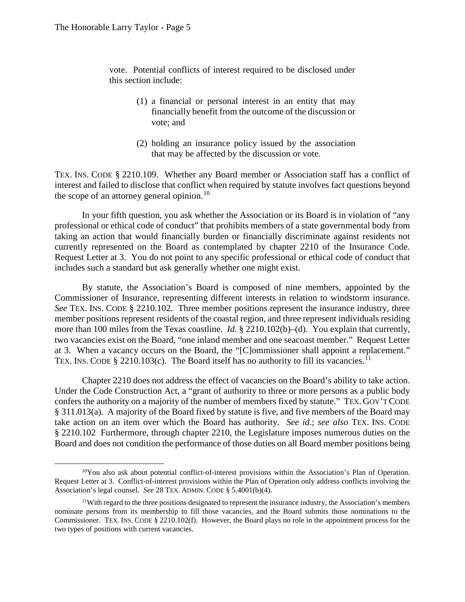$\overline{a}$ 

vote. Potential conflicts of interest required to be disclosed under this section include:

- (1) a financial or personal interest in an entity that may financially benefit from the outcome of the discussion or vote; and
- (2) holding an insurance policy issued by the association that may be affected by the discussion or vote.

 TEX. INS. CODE § 2210.109. Whether any Board member or Association staff has a conflict of the scope of an attorney general opinion.<sup>10</sup> interest and failed to disclose that conflict when required by statute involves fact questions beyond

currently represented on the Board as contemplated by chapter 2210 of the Insurance Code. currently represented on the Board as contemplated by chapter 2210 of the Insurance Code. Request Letter at 3. You do not point to any specific professional or ethical code of conduct that In your fifth question, you ask whether the Association or its Board is in violation of "any professional or ethical code of conduct" that prohibits members of a state governmental body from taking an action that would financially burden or financially discriminate against residents not includes such a standard but ask generally whether one might exist.

 *See* TEX. INS. CODE § 2210.102. Three member positions represent the insurance industry, three two vacancies exist on the Board, "one inland member and one seacoast member." Request Letter at 3. When a vacancy occurs on the Board, the "[C]ommissioner shall appoint a replacement."<br>TEX. INS. CODE § 2210.103(c). The Board itself has no authority to fill its vacancies.<sup>11</sup> TEX. INS. CODE § 2210.103(c). The Board itself has no authority to fill its vacancies.<sup>11</sup> By statute, the Association's Board is composed of nine members, appointed by the Commissioner of Insurance, representing different interests in relation to windstorm insurance. member positions represent residents of the coastal region, and three represent individuals residing more than 100 miles from the Texas coastline. *Id*. § 2210.102(b)–(d). You explain that currently,

Chapter 2210 does not address the effect of vacancies on the Board's ability to take action. confers the authority on a majority of the number of members fixed by statute." TEX. GOV'T CODE take action on an item over which the Board has authority. *See id*.; *see also* TEX. INS. CODE Board and does not condition the performance of those duties on all Board member positions being Under the Code Construction Act, a "grant of authority to three or more persons as a public body § 311.013(a). A majority of the Board fixed by statute is five, and five members of the Board may § 2210.102 Furthermore, through chapter 2210, the Legislature imposes numerous duties on the

 Association's legal counsel. *See* 28 TEX. ADMIN. CODE § 5.4001(b)(4). <sup>10</sup>You also ask about potential conflict-of-interest provisions within the Association's Plan of Operation. Request Letter at 3. Conflict-of-interest provisions within the Plan of Operation only address conflicts involving the

<sup>&</sup>lt;sup>11</sup>With regard to the three positions designated to represent the insurance industry, the Association's members nominate persons from its membership to fill those vacancies, and the Board submits those nominations to the Commissioner. TEX. INS. CODE § 2210.102(f). However, the Board plays no role in the appointment process for the two types of positions with current vacancies.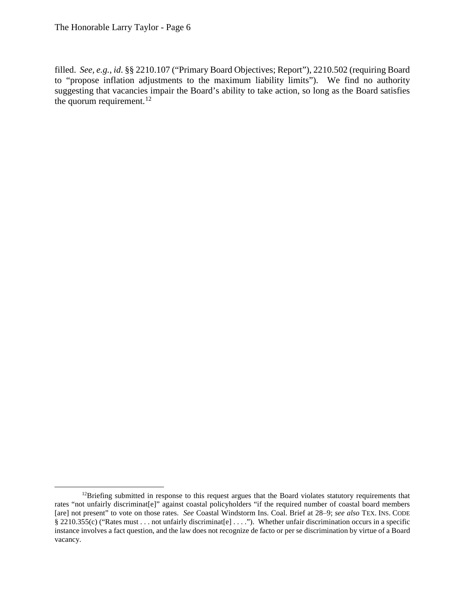filled. *See, e.g.*, *id*. §§ 2210.107 ("Primary Board Objectives; Report"), 2210.502 (requiring Board suggesting that vacancies impair the Board's ability to take action, so long as the Board satisfies the quorum requirement.<sup>12</sup> to "propose inflation adjustments to the maximum liability limits"). We find no authority

 [are] not present" to vote on those rates. *See* Coastal Windstorm Ins. Coal. Brief at 28‒9; *see also* TEX. INS. CODE § 2210.355(c) ("Rates must . . . not unfairly discriminat[e] . . . ."). Whether unfair discrimination occurs in a specific  $12$ Briefing submitted in response to this request argues that the Board violates statutory requirements that rates "not unfairly discriminat[e]" against coastal policyholders "if the required number of coastal board members instance involves a fact question, and the law does not recognize de facto or per se discrimination by virtue of a Board vacancy.